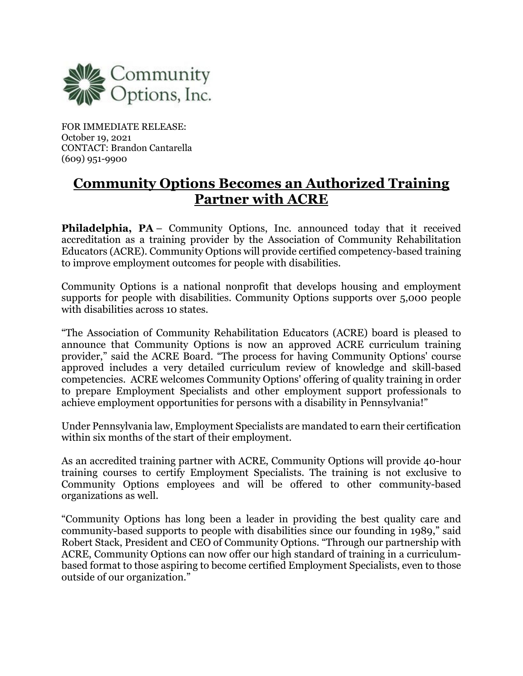

FOR IMMEDIATE RELEASE: October 19, 2021 CONTACT: Brandon Cantarella (609) 951-9900

## **Community Options Becomes an Authorized Training Partner with ACRE**

**Philadelphia, PA** – Community Options, Inc. announced today that it received accreditation as a training provider by the Association of Community Rehabilitation Educators (ACRE). Community Options will provide certified competency-based training to improve employment outcomes for people with disabilities.

Community Options is a national nonprofit that develops housing and employment supports for people with disabilities. Community Options supports over 5,000 people with disabilities across 10 states.

"The Association of Community Rehabilitation Educators (ACRE) board is pleased to announce that Community Options is now an approved ACRE curriculum training provider," said the ACRE Board. "The process for having Community Options' course approved includes a very detailed curriculum review of knowledge and skill-based competencies. ACRE welcomes Community Options' offering of quality training in order to prepare Employment Specialists and other employment support professionals to achieve employment opportunities for persons with a disability in Pennsylvania!"

Under Pennsylvania law, Employment Specialists are mandated to earn their certification within six months of the start of their employment.

As an accredited training partner with ACRE, Community Options will provide 40-hour training courses to certify Employment Specialists. The training is not exclusive to Community Options employees and will be offered to other community-based organizations as well.

"Community Options has long been a leader in providing the best quality care and community-based supports to people with disabilities since our founding in 1989," said Robert Stack, President and CEO of Community Options. "Through our partnership with ACRE, Community Options can now offer our high standard of training in a curriculumbased format to those aspiring to become certified Employment Specialists, even to those outside of our organization."